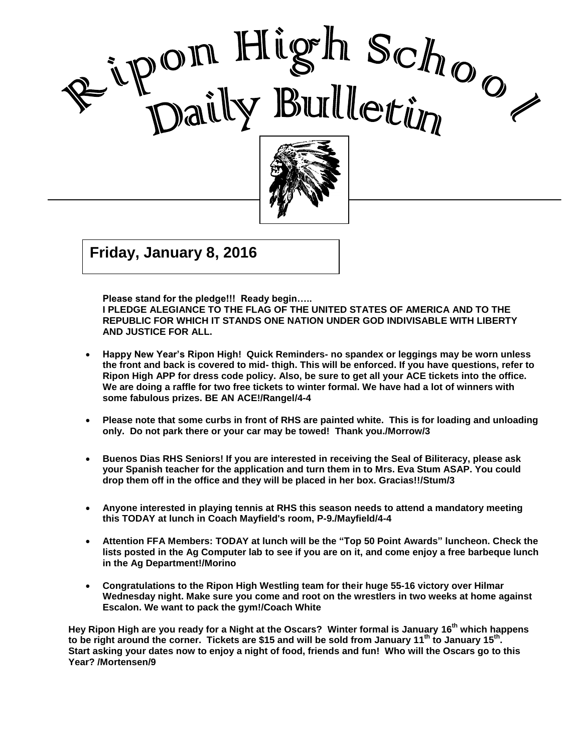



Good Care and Care and Care and Care and Care and Care and Care and Care and Care and Care and Care and Care a<br>Contract of Care and Care and Care and Care and Care and Care and Care and Care and Care and Care and Care and

I

 $\overline{\phantom{a}}$ **Friday, January 8, 2016**

**Please stand for the pledge!!! Ready begin…..** 

**I PLEDGE ALEGIANCE TO THE FLAG OF THE UNITED STATES OF AMERICA AND TO THE REPUBLIC FOR WHICH IT STANDS ONE NATION UNDER GOD INDIVISABLE WITH LIBERTY AND JUSTICE FOR ALL.**

- **Happy New Year's Ripon High! Quick Reminders- no spandex or leggings may be worn unless the front and back is covered to mid- thigh. This will be enforced. If you have questions, refer to Ripon High APP for dress code policy. Also, be sure to get all your ACE tickets into the office. We are doing a raffle for two free tickets to winter formal. We have had a lot of winners with some fabulous prizes. BE AN ACE!/Rangel/4-4**
- **Please note that some curbs in front of RHS are painted white. This is for loading and unloading only. Do not park there or your car may be towed! Thank you./Morrow/3**
- **Buenos Dias RHS Seniors! If you are interested in receiving the Seal of Biliteracy, please ask your Spanish teacher for the application and turn them in to Mrs. Eva Stum ASAP. You could drop them off in the office and they will be placed in her box. Gracias!!/Stum/3**
- **Anyone interested in playing tennis at RHS this season needs to attend a mandatory meeting this TODAY at lunch in Coach Mayfield's room, P-9./Mayfield/4-4**
- **Attention FFA Members: TODAY at lunch will be the "Top 50 Point Awards" luncheon. Check the lists posted in the Ag Computer lab to see if you are on it, and come enjoy a free barbeque lunch in the Ag Department!/Morino**
- **Congratulations to the Ripon High Westling team for their huge 55-16 victory over Hilmar Wednesday night. Make sure you come and root on the wrestlers in two weeks at home against Escalon. We want to pack the gym!/Coach White**

**Hey Ripon High are you ready for a Night at the Oscars? Winter formal is January 16 th which happens**  to be right around the corner. Tickets are \$15 and will be sold from January 11<sup>th</sup> to January 15<sup>th</sup>. **Start asking your dates now to enjoy a night of food, friends and fun! Who will the Oscars go to this Year? /Mortensen/9**